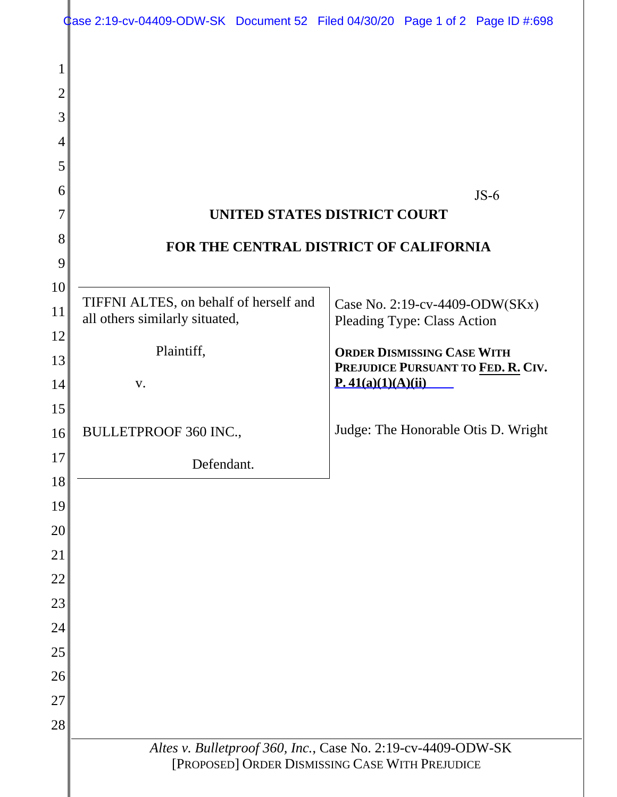|          | $\frac{d}{dx}$ ase 2:19-cv-04409-ODW-SK Document 52 Filed 04/30/20 Page 1 of 2 Page ID #:698 |                                                              |                                                         |                                    |                                     |  |  |
|----------|----------------------------------------------------------------------------------------------|--------------------------------------------------------------|---------------------------------------------------------|------------------------------------|-------------------------------------|--|--|
| 1        |                                                                                              |                                                              |                                                         |                                    |                                     |  |  |
| 2        |                                                                                              |                                                              |                                                         |                                    |                                     |  |  |
| 3        |                                                                                              |                                                              |                                                         |                                    |                                     |  |  |
| 4        |                                                                                              |                                                              |                                                         |                                    |                                     |  |  |
| 5        |                                                                                              |                                                              |                                                         |                                    |                                     |  |  |
| 6        | $JS-6$                                                                                       |                                                              |                                                         |                                    |                                     |  |  |
| 7        | UNITED STATES DISTRICT COURT                                                                 |                                                              |                                                         |                                    |                                     |  |  |
| 8        | FOR THE CENTRAL DISTRICT OF CALIFORNIA                                                       |                                                              |                                                         |                                    |                                     |  |  |
| 9        |                                                                                              |                                                              |                                                         |                                    |                                     |  |  |
| 10       | TIFFNI ALTES, on behalf of herself and                                                       |                                                              |                                                         | Case No. 2:19-cv-4409-ODW(SKx)     |                                     |  |  |
| 11<br>12 | all others similarly situated,                                                               |                                                              |                                                         | <b>Pleading Type: Class Action</b> |                                     |  |  |
| 13       | Plaintiff,                                                                                   |                                                              |                                                         | <b>ORDER DISMISSING CASE WITH</b>  |                                     |  |  |
| 14       | V.                                                                                           |                                                              | PREJUDICE PURSUANT TO FED. R. CIV.<br>P.41(a)(1)(A)(ii) |                                    |                                     |  |  |
| 15       |                                                                                              |                                                              |                                                         |                                    |                                     |  |  |
| 16       | <b>BULLETPROOF 360 INC.,</b>                                                                 |                                                              |                                                         |                                    | Judge: The Honorable Otis D. Wright |  |  |
| 17       | Defendant.                                                                                   |                                                              |                                                         |                                    |                                     |  |  |
| 18       |                                                                                              |                                                              |                                                         |                                    |                                     |  |  |
| 19       |                                                                                              |                                                              |                                                         |                                    |                                     |  |  |
| 20       |                                                                                              |                                                              |                                                         |                                    |                                     |  |  |
| 21       |                                                                                              |                                                              |                                                         |                                    |                                     |  |  |
| 22       |                                                                                              |                                                              |                                                         |                                    |                                     |  |  |
| 23       |                                                                                              |                                                              |                                                         |                                    |                                     |  |  |
| 24       |                                                                                              |                                                              |                                                         |                                    |                                     |  |  |
| 25       |                                                                                              |                                                              |                                                         |                                    |                                     |  |  |
| 26<br>27 |                                                                                              |                                                              |                                                         |                                    |                                     |  |  |
| 28       |                                                                                              |                                                              |                                                         |                                    |                                     |  |  |
|          |                                                                                              | Altes v. Bulletproof 360, Inc., Case No. 2:19-cv-4409-ODW-SK |                                                         |                                    |                                     |  |  |
|          | [PROPOSED] ORDER DISMISSING CASE WITH PREJUDICE                                              |                                                              |                                                         |                                    |                                     |  |  |
|          |                                                                                              |                                                              |                                                         |                                    |                                     |  |  |